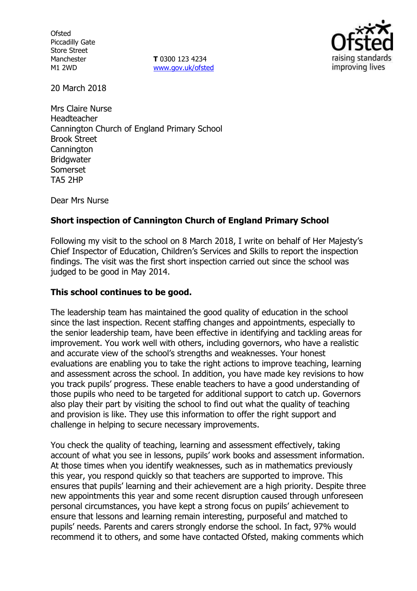**Ofsted** Piccadilly Gate Store Street Manchester M1 2WD

**T** 0300 123 4234 www.gov.uk/ofsted



20 March 2018

Mrs Claire Nurse Headteacher Cannington Church of England Primary School Brook Street **Cannington** Bridgwater Somerset TA5 2HP

Dear Mrs Nurse

## **Short inspection of Cannington Church of England Primary School**

Following my visit to the school on 8 March 2018, I write on behalf of Her Majesty's Chief Inspector of Education, Children's Services and Skills to report the inspection findings. The visit was the first short inspection carried out since the school was judged to be good in May 2014.

#### **This school continues to be good.**

The leadership team has maintained the good quality of education in the school since the last inspection. Recent staffing changes and appointments, especially to the senior leadership team, have been effective in identifying and tackling areas for improvement. You work well with others, including governors, who have a realistic and accurate view of the school's strengths and weaknesses. Your honest evaluations are enabling you to take the right actions to improve teaching, learning and assessment across the school. In addition, you have made key revisions to how you track pupils' progress. These enable teachers to have a good understanding of those pupils who need to be targeted for additional support to catch up. Governors also play their part by visiting the school to find out what the quality of teaching and provision is like. They use this information to offer the right support and challenge in helping to secure necessary improvements.

You check the quality of teaching, learning and assessment effectively, taking account of what you see in lessons, pupils' work books and assessment information. At those times when you identify weaknesses, such as in mathematics previously this year, you respond quickly so that teachers are supported to improve. This ensures that pupils' learning and their achievement are a high priority. Despite three new appointments this year and some recent disruption caused through unforeseen personal circumstances, you have kept a strong focus on pupils' achievement to ensure that lessons and learning remain interesting, purposeful and matched to pupils' needs. Parents and carers strongly endorse the school. In fact, 97% would recommend it to others, and some have contacted Ofsted, making comments which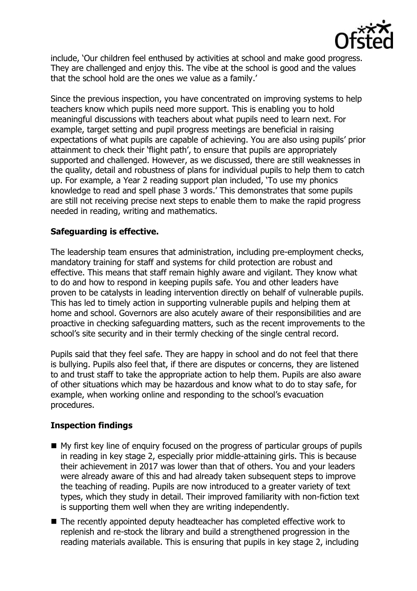

include, 'Our children feel enthused by activities at school and make good progress. They are challenged and enjoy this. The vibe at the school is good and the values that the school hold are the ones we value as a family.'

Since the previous inspection, you have concentrated on improving systems to help teachers know which pupils need more support. This is enabling you to hold meaningful discussions with teachers about what pupils need to learn next. For example, target setting and pupil progress meetings are beneficial in raising expectations of what pupils are capable of achieving. You are also using pupils' prior attainment to check their 'flight path', to ensure that pupils are appropriately supported and challenged. However, as we discussed, there are still weaknesses in the quality, detail and robustness of plans for individual pupils to help them to catch up. For example, a Year 2 reading support plan included, 'To use my phonics knowledge to read and spell phase 3 words.' This demonstrates that some pupils are still not receiving precise next steps to enable them to make the rapid progress needed in reading, writing and mathematics.

## **Safeguarding is effective.**

The leadership team ensures that administration, including pre-employment checks, mandatory training for staff and systems for child protection are robust and effective. This means that staff remain highly aware and vigilant. They know what to do and how to respond in keeping pupils safe. You and other leaders have proven to be catalysts in leading intervention directly on behalf of vulnerable pupils. This has led to timely action in supporting vulnerable pupils and helping them at home and school. Governors are also acutely aware of their responsibilities and are proactive in checking safeguarding matters, such as the recent improvements to the school's site security and in their termly checking of the single central record.

Pupils said that they feel safe. They are happy in school and do not feel that there is bullying. Pupils also feel that, if there are disputes or concerns, they are listened to and trust staff to take the appropriate action to help them. Pupils are also aware of other situations which may be hazardous and know what to do to stay safe, for example, when working online and responding to the school's evacuation procedures.

# **Inspection findings**

- My first key line of enquiry focused on the progress of particular groups of pupils in reading in key stage 2, especially prior middle-attaining girls. This is because their achievement in 2017 was lower than that of others. You and your leaders were already aware of this and had already taken subsequent steps to improve the teaching of reading. Pupils are now introduced to a greater variety of text types, which they study in detail. Their improved familiarity with non-fiction text is supporting them well when they are writing independently.
- The recently appointed deputy headteacher has completed effective work to replenish and re-stock the library and build a strengthened progression in the reading materials available. This is ensuring that pupils in key stage 2, including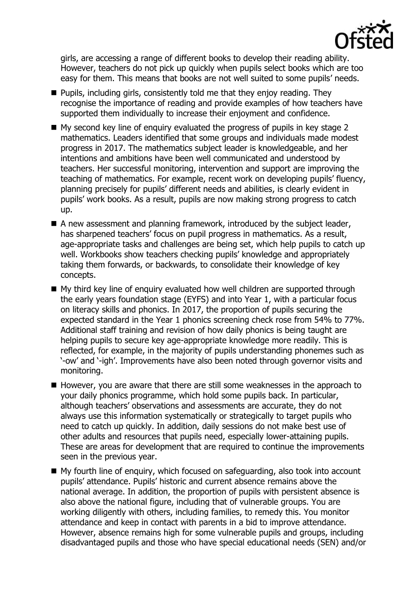

girls, are accessing a range of different books to develop their reading ability. However, teachers do not pick up quickly when pupils select books which are too easy for them. This means that books are not well suited to some pupils' needs.

- $\blacksquare$  Pupils, including girls, consistently told me that they enjoy reading. They recognise the importance of reading and provide examples of how teachers have supported them individually to increase their enjoyment and confidence.
- My second key line of enquiry evaluated the progress of pupils in key stage 2 mathematics. Leaders identified that some groups and individuals made modest progress in 2017. The mathematics subject leader is knowledgeable, and her intentions and ambitions have been well communicated and understood by teachers. Her successful monitoring, intervention and support are improving the teaching of mathematics. For example, recent work on developing pupils' fluency, planning precisely for pupils' different needs and abilities, is clearly evident in pupils' work books. As a result, pupils are now making strong progress to catch up.
- A new assessment and planning framework, introduced by the subject leader, has sharpened teachers' focus on pupil progress in mathematics. As a result, age-appropriate tasks and challenges are being set, which help pupils to catch up well. Workbooks show teachers checking pupils' knowledge and appropriately taking them forwards, or backwards, to consolidate their knowledge of key concepts.
- My third key line of enquiry evaluated how well children are supported through the early years foundation stage (EYFS) and into Year 1, with a particular focus on literacy skills and phonics. In 2017, the proportion of pupils securing the expected standard in the Year 1 phonics screening check rose from 54% to 77%. Additional staff training and revision of how daily phonics is being taught are helping pupils to secure key age-appropriate knowledge more readily. This is reflected, for example, in the majority of pupils understanding phonemes such as '-ow' and '-igh'. Improvements have also been noted through governor visits and monitoring.
- $\blacksquare$  However, you are aware that there are still some weaknesses in the approach to your daily phonics programme, which hold some pupils back. In particular, although teachers' observations and assessments are accurate, they do not always use this information systematically or strategically to target pupils who need to catch up quickly. In addition, daily sessions do not make best use of other adults and resources that pupils need, especially lower-attaining pupils. These are areas for development that are required to continue the improvements seen in the previous year.
- My fourth line of enquiry, which focused on safequarding, also took into account pupils' attendance. Pupils' historic and current absence remains above the national average. In addition, the proportion of pupils with persistent absence is also above the national figure, including that of vulnerable groups. You are working diligently with others, including families, to remedy this. You monitor attendance and keep in contact with parents in a bid to improve attendance. However, absence remains high for some vulnerable pupils and groups, including disadvantaged pupils and those who have special educational needs (SEN) and/or